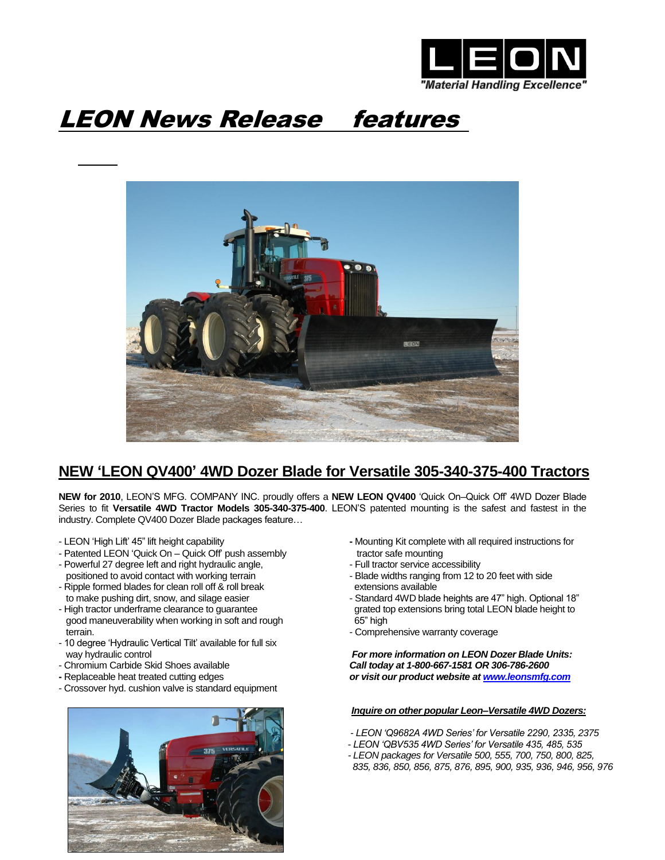

## LEON News Release features



## **NEW 'LEON QV400' 4WD Dozer Blade for Versatile 305-340-375-400 Tractors**

**NEW for 2010**, LEON'S MFG. COMPANY INC. proudly offers a **NEW LEON QV400** 'Quick On–Quick Off' 4WD Dozer Blade Series to fit **Versatile 4WD Tractor Models 305-340-375-400**. LEON'S patented mounting is the safest and fastest in the industry. Complete QV400 Dozer Blade packages feature…

- 
- Patented LEON 'Quick On Quick Off' push assembly tractor safe mounting
- Powerful 27 degree left and right hydraulic angle, The South Communication service accessibility
- Ripple formed blades for clean roll off & roll break extensions available
- good maneuverability when working in soft and rough 65" high terrain. **Example 19** and the comprehensive warranty coverage entitled that the comprehensive warranty coverage
- 10 degree 'Hydraulic Vertical Tilt' available for full six
- 
- 
- Crossover hyd. cushion valve is standard equipment



- LEON 'High Lift' 45" lift height capability **-** Mounting Kit complete with all required instructions for
	-
	- positioned to avoid contact with working terrain Blade widths ranging from 12 to 20 feet with side
- to make pushing dirt, snow, and silage easier  $\blacksquare$  Standard 4WD blade heights are 47" high. Optional 18" - High tractor underframe clearance to guarantee grated top extensions bring total LEON blade height to
	-

 way hydraulic control *For more information on LEON Dozer Blade Units:* - Chromium Carbide Skid Shoes available*Call today at 1-800-667-1581 OR 306-786-2600* **-** Replaceable heat treated cutting edges *or visit our product website at [www.leonsmfg.com](http://www.leonsmfg.com/)*

## *Inquire on other popular Leon–Versatile 4WD Dozers:*

- *- LEON 'Q9682A 4WD Series' for Versatile 2290, 2335, 2375*
- *- LEON 'QBV535 4WD Series' for Versatile 435, 485, 535*
- *- LEON packages for Versatile 500, 555, 700, 750, 800, 825,*
- *835, 836, 850, 856, 875, 876, 895, 900, 935, 936, 946, 956, 976*